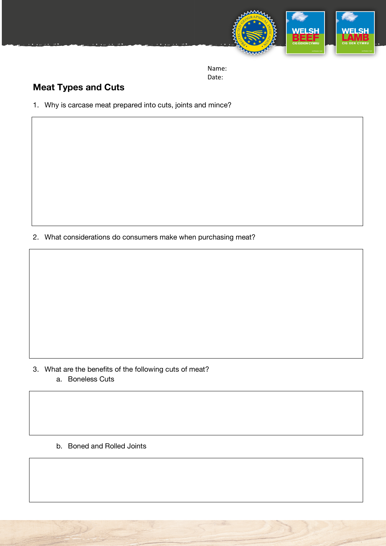

## **Meat Types and Cuts**

1. Why is carcase meat prepared into cuts, joints and mince?

2. What considerations do consumers make when purchasing meat?

3. What are the benefits of the following cuts of meat? a. Boneless Cuts

b. Boned and Rolled Joints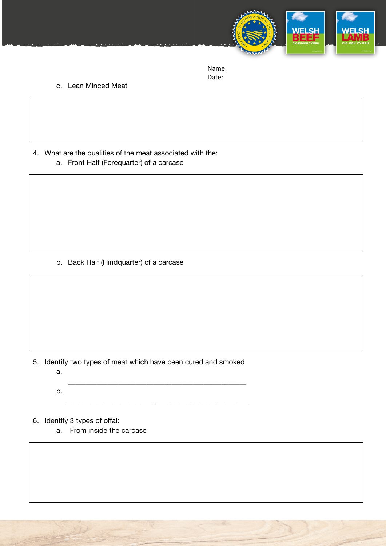

c. Lean Minced Meat

4. What are the qualities of the meat associated with the: a. Front Half (Forequarter) of a carcase

b. Back Half (Hindquarter) of a carcase

5. Identify two types of meat which have been cured and smoked

\_\_\_\_\_\_\_\_\_\_\_\_\_\_\_\_\_\_\_\_\_\_\_\_\_\_\_\_\_\_\_\_\_\_\_\_\_\_\_\_\_\_\_\_\_\_\_\_\_\_

\_\_\_\_\_\_\_\_\_\_\_\_\_\_\_\_\_\_\_\_\_\_\_\_\_\_\_\_\_\_\_\_\_\_\_\_\_\_\_\_\_\_\_\_\_\_\_\_\_\_\_

a.

b.

6. Identify 3 types of offal:

a. From inside the carcase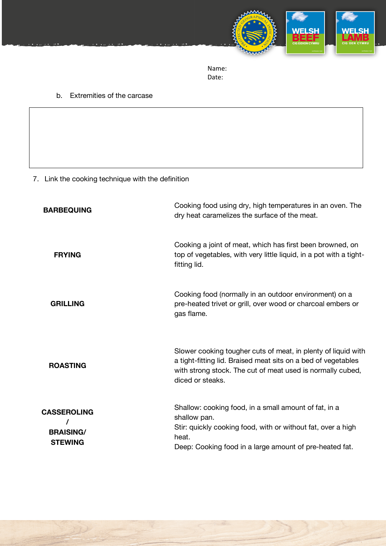

## b. Extremities of the carcase

7. Link the cooking technique with the definition

| <b>BARBEQUING</b>                                        | Cooking food using dry, high temperatures in an oven. The<br>dry heat caramelizes the surface of the meat.                                                                                                       |
|----------------------------------------------------------|------------------------------------------------------------------------------------------------------------------------------------------------------------------------------------------------------------------|
| <b>FRYING</b>                                            | Cooking a joint of meat, which has first been browned, on<br>top of vegetables, with very little liquid, in a pot with a tight-<br>fitting lid.                                                                  |
| <b>GRILLING</b>                                          | Cooking food (normally in an outdoor environment) on a<br>pre-heated trivet or grill, over wood or charcoal embers or<br>gas flame.                                                                              |
| <b>ROASTING</b>                                          | Slower cooking tougher cuts of meat, in plenty of liquid with<br>a tight-fitting lid. Braised meat sits on a bed of vegetables<br>with strong stock. The cut of meat used is normally cubed,<br>diced or steaks. |
| <b>CASSEROLING</b><br><b>BRAISING/</b><br><b>STEWING</b> | Shallow: cooking food, in a small amount of fat, in a<br>shallow pan.<br>Stir: quickly cooking food, with or without fat, over a high<br>heat.<br>Deep: Cooking food in a large amount of pre-heated fat.        |